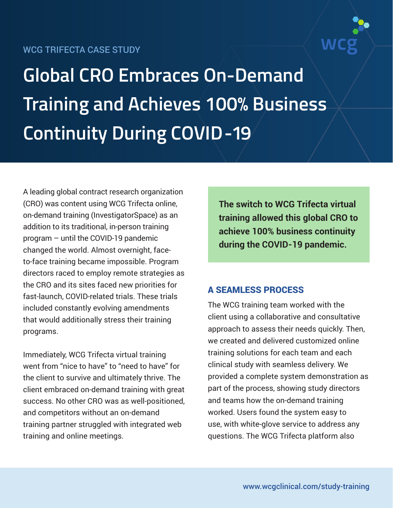## WCG TRIFECTA CASE STUDY



**Global CRO Embraces On-Demand Training and Achieves 100% Business Continuity During COVID-19**

A leading global contract research organization (CRO) was content using WCG Trifecta online, on-demand training (InvestigatorSpace) as an addition to its traditional, in-person training program – until the COVID-19 pandemic changed the world. Almost overnight, faceto-face training became impossible. Program directors raced to employ remote strategies as the CRO and its sites faced new priorities for fast-launch, COVID-related trials. These trials included constantly evolving amendments that would additionally stress their training programs.

Immediately, WCG Trifecta virtual training went from "nice to have" to "need to have" for the client to survive and ultimately thrive. The client embraced on-demand training with great success. No other CRO was as well-positioned, and competitors without an on-demand training partner struggled with integrated web training and online meetings.

**The switch to WCG Trifecta virtual training allowed this global CRO to achieve 100% business continuity during the COVID-19 pandemic.**

## A SEAMLESS PROCESS

The WCG training team worked with the client using a collaborative and consultative approach to assess their needs quickly. Then, we created and delivered customized online training solutions for each team and each clinical study with seamless delivery. We provided a complete system demonstration as part of the process, showing study directors and teams how the on-demand training worked. Users found the system easy to use, with white-glove service to address any questions. The WCG Trifecta platform also